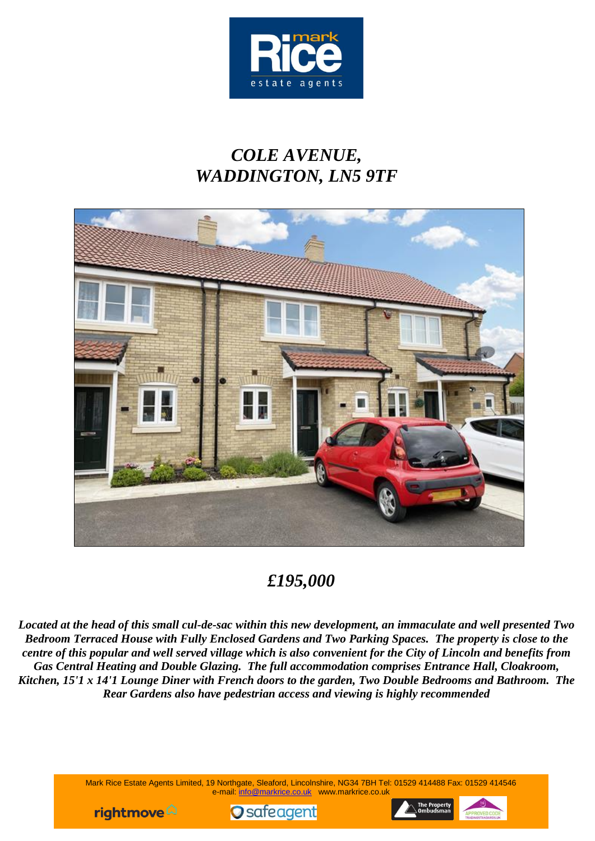

# *COLE AVENUE, WADDINGTON, LN5 9TF*



## *£195,000*

*Located at the head of this small cul-de-sac within this new development, an immaculate and well presented Two Bedroom Terraced House with Fully Enclosed Gardens and Two Parking Spaces. The property is close to the centre of this popular and well served village which is also convenient for the City of Lincoln and benefits from Gas Central Heating and Double Glazing. The full accommodation comprises Entrance Hall, Cloakroom, Kitchen, 15'1 x 14'1 Lounge Diner with French doors to the garden, Two Double Bedrooms and Bathroom. The Rear Gardens also have pedestrian access and viewing is highly recommended*

> Mark Rice Estate Agents Limited, 19 Northgate, Sleaford, Lincolnshire, NG34 7BH Tel: 01529 414488 Fax: 01529 414546 e-mail: info@markrice.co.uk www.markrice.co.uk





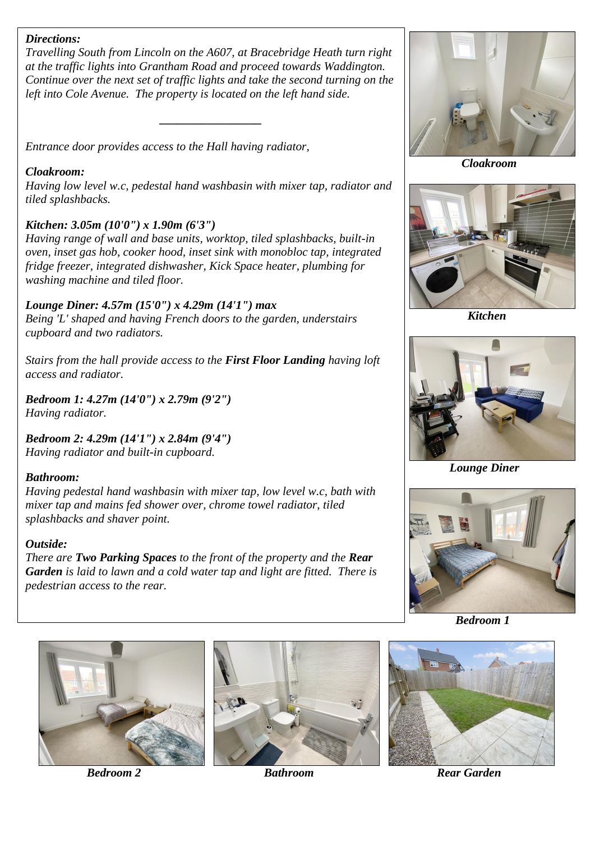### *Directions:*

*Travelling South from Lincoln on the A607, at Bracebridge Heath turn right at the traffic lights into Grantham Road and proceed towards Waddington. Continue over the next set of traffic lights and take the second turning on the left into Cole Avenue. The property is located on the left hand side.*

*\_\_\_\_\_\_\_\_\_\_\_\_\_\_\_\_\_*

*Entrance door provides access to the Hall having radiator,*

#### *Cloakroom:*

*Having low level w.c, pedestal hand washbasin with mixer tap, radiator and tiled splashbacks.*

### *Kitchen: 3.05m (10'0") x 1.90m (6'3")*

*Having range of wall and base units, worktop, tiled splashbacks, built-in oven, inset gas hob, cooker hood, inset sink with monobloc tap, integrated fridge freezer, integrated dishwasher, Kick Space heater, plumbing for washing machine and tiled floor.*

*Lounge Diner: 4.57m (15'0") x 4.29m (14'1") max Being 'L' shaped and having French doors to the garden, understairs cupboard and two radiators.*

*Stairs from the hall provide access to the First Floor Landing having loft access and radiator.*

*Bedroom 1: 4.27m (14'0") x 2.79m (9'2") Having radiator.*

*Bedroom 2: 4.29m (14'1") x 2.84m (9'4") Having radiator and built-in cupboard.*

### *Bathroom:*

*Having pedestal hand washbasin with mixer tap, low level w.c, bath with mixer tap and mains fed shower over, chrome towel radiator, tiled splashbacks and shaver point.*

#### *Outside:*

*There are Two Parking Spaces to the front of the property and the Rear Garden is laid to lawn and a cold water tap and light are fitted. There is pedestrian access to the rear.*



 *Cloakroom*



 *Kitchen*



*Lounge Diner*



 *Bedroom 1*







*Bedroom 2* **Bathroom Bathroom Rear Garden**